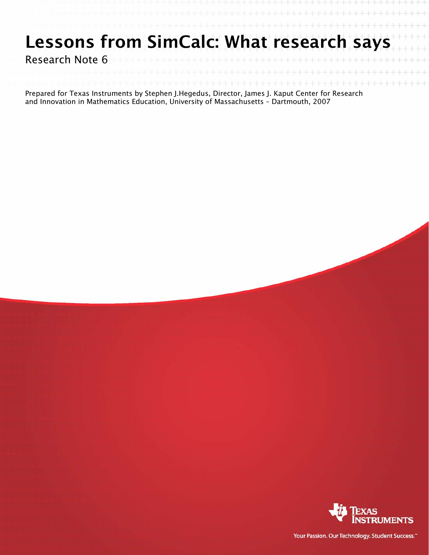## Lessons from SimCalc: What research says

Research Note 6

Prepared for Texas Instruments by Stephen J.Hegedus, Director, James J. Kaput Center for Research and Innovation in Mathematics Education, University of Massachusetts – Dartmouth, 2007



Your Passion. Our Technology. Student Success."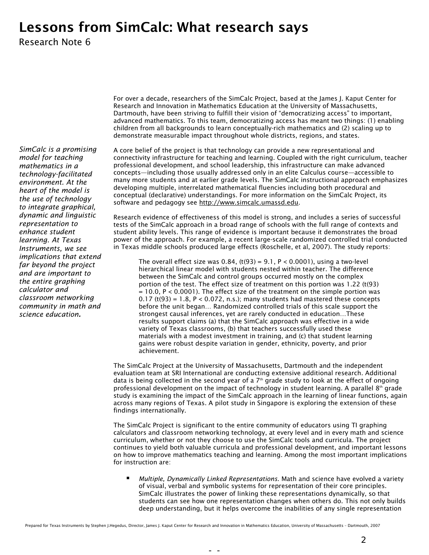## Lessons from SimCalc: What research says

Research Note 6

For over a decade, researchers of the SimCalc Project, based at the James J. Kaput Center for Research and Innovation in Mathematics Education at the University of Massachusetts, Dartmouth, have been striving to fulfill their vision of "democratizing access" to important, advanced mathematics. To this team, democratizing access has meant two things: (1) enabling children from all backgrounds to learn conceptually-rich mathematics and (2) scaling up to demonstrate measurable impact throughout whole districts, regions, and states.

A core belief of the project is that technology can provide a new representational and connectivity infrastructure for teaching and learning. Coupled with the right curriculum, teacher professional development, and school leadership, this infrastructure can make advanced concepts—including those usually addressed only in an elite Calculus course—accessible to many more students and at earlier grade levels. The SimCalc instructional approach emphasizes developing multiple, interrelated mathematical fluencies including both procedural and conceptual (declarative) understandings. For more information on the SimCalc Project, its software and pedagogy see [http://www.simcalc.umassd.edu.](http://www.simcalc.umassd.edu/)

Research evidence of effectiveness of this model is strong, and includes a series of successful tests of the SimCalc approach in a broad range of schools with the full range of contexts and student ability levels. This range of evidence is important because it demonstrates the broad power of the approach. For example, a recent large-scale randomized controlled trial conducted in Texas middle schools produced large effects (Roschelle, et al, 2007). The study reports:

The overall effect size was  $0.84$ , (t(93) =  $9.1$ ,  $P < 0.0001$ ), using a two-level hierarchical linear model with students nested within teacher. The difference between the SimCalc and control groups occurred mostly on the complex portion of the test. The effect size of treatment on this portion was 1.22 (t(93)  $= 10.0$ ,  $P < 0.0001$ ). The effect size of the treatment on the simple portion was  $0.17$  (t(93) = 1.8, P < 0.072, n.s.); many students had mastered these concepts before the unit began… Randomized controlled trials of this scale support the strongest causal inferences, yet are rarely conducted in education…These results support claims (a) that the SimCalc approach was effective in a wide variety of Texas classrooms, (b) that teachers successfully used these materials with a modest investment in training, and (c) that student learning gains were robust despite variation in gender, ethnicity, poverty, and prior achievement.

The SimCalc Project at the University of Massachusetts, Dartmouth and the independent evaluation team at SRI International are conducting extensive additional research. Additional data is being collected in the second year of a  $7<sup>th</sup>$  grade study to look at the effect of ongoing professional development on the impact of technology in student learning. A parallel  $8<sup>th</sup>$  grade study is examining the impact of the SimCalc approach in the learning of linear functions, again across many regions of Texas. A pilot study in Singapore is exploring the extension of these findings internationally.

The SimCalc Project is significant to the entire community of educators using TI graphing calculators and classroom networking technology, at every level and in every math and science curriculum, whether or not they choose to use the SimCalc tools and curricula. The project continues to yield both valuable curricula and professional development, and important lessons on how to improve mathematics teaching and learning. Among the most important implications for instruction are:

 *Multiple, Dynamically Linked Representations.* Math and science have evolved a variety of visual, verbal and symbolic systems for representation of their core principles. SimCalc illustrates the power of linking these representations dynamically, so that students can see how one representation changes when others do. This not only builds deep understanding, but it helps overcome the inabilities of any single representation

*SimCalc is a promising model for teaching mathematics in a technology-facilitated environment. At the heart of the model is the use of technology to integrate graphical, dynamic and linguistic representation to enhance student learning. At Texas Instruments, we see implications that extend far beyond the project and are important to the entire graphing calculator and classroom networking community in math and science education.*

- -